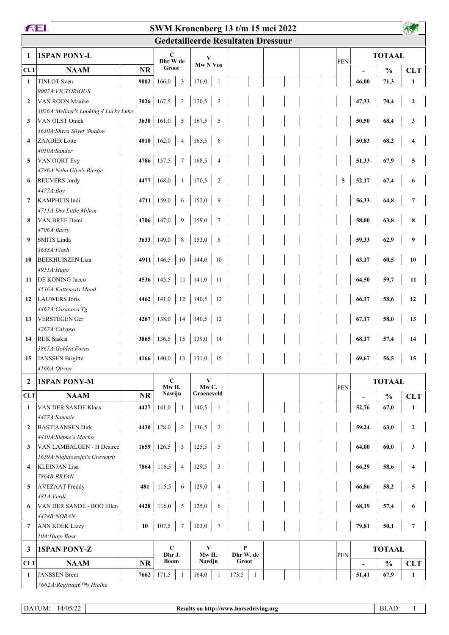| <b>FEI.</b><br>SWM Kronenberg 13 t/m 15 mei 2022 |                                          |           |                                                                        |                         |                       |                |                                           |  |  |            |                          |               |                |
|--------------------------------------------------|------------------------------------------|-----------|------------------------------------------------------------------------|-------------------------|-----------------------|----------------|-------------------------------------------|--|--|------------|--------------------------|---------------|----------------|
|                                                  |                                          |           |                                                                        |                         |                       |                | <b>Gedetailleerde Resultaten Dressuur</b> |  |  |            |                          |               |                |
| 1                                                | <b>1SPAN PONY-L</b>                      |           | C<br>Dhr W de                                                          |                         | V                     |                |                                           |  |  | <b>PEN</b> |                          | <b>TOTAAL</b> |                |
| <b>CLT</b>                                       | <b>NAAM</b>                              | <b>NR</b> | Groot                                                                  |                         | Mw <sub>N</sub> Vos   |                |                                           |  |  |            |                          | $\frac{0}{0}$ | <b>CLT</b>     |
| $\mathbf{1}$                                     | <b>TINLOT</b> Sven                       | 9002      | 166,0                                                                  | $\overline{3}$          | 176,0                 | $\mathbf{1}$   |                                           |  |  |            | 46,00                    | 71,3          | $\mathbf{1}$   |
|                                                  | 9002A: VICTORIOUS                        |           |                                                                        |                         |                       |                |                                           |  |  |            |                          |               |                |
| $\overline{2}$                                   | VAN ROON Maaike                          |           | 3026 167,5                                                             | $\overline{2}$          | 170,5                 | $\sqrt{2}$     |                                           |  |  |            | 47,33                    | 70,4          | $\overline{2}$ |
|                                                  | 3026A: Mellaer's Looking 4 Lucky Luke    |           |                                                                        |                         |                       |                |                                           |  |  |            |                          |               |                |
| 3                                                | VAN OLST Oniek                           |           | 3630 161,0 5                                                           |                         | 167,5                 | 5              |                                           |  |  |            | 50,50                    | 68,4          | 3              |
|                                                  | 3630A: Shyra Silver Shadow               |           |                                                                        |                         |                       |                |                                           |  |  |            |                          |               |                |
| $\overline{\mathbf{4}}$                          | <b>ZAAIJER</b> Lotte                     |           | 4010 162,0                                                             | $\overline{4}$          | 165,5                 | 6              |                                           |  |  |            | 50,83                    | 68,2          | 4              |
|                                                  | 4010A:Sander                             |           |                                                                        |                         |                       |                |                                           |  |  |            |                          |               |                |
| 5                                                | VAN OORT Evy                             |           | $\vert 4786 \vert 157,5 \vert 7$                                       |                         | 168,5                 | $\overline{4}$ |                                           |  |  |            | 51,33                    | 67,9          | 5              |
|                                                  | 4786A: Nebo Glyn's Biertje               |           |                                                                        |                         |                       |                |                                           |  |  |            |                          |               |                |
| 6                                                | <b>REUVERS Jordy</b>                     |           | 4477   $168,0$   1                                                     |                         | 170,5                 | $\sqrt{2}$     |                                           |  |  | 5          | 52,17                    | 67,4          | 6              |
| $\overline{7}$                                   | 4477A:Boy<br><b>KAMPHUIS Indi</b>        |           | 4711 159,0 6                                                           |                         | 152,0                 |                |                                           |  |  |            | 56,33                    |               |                |
|                                                  |                                          |           |                                                                        |                         |                       | 9              |                                           |  |  |            |                          | 64,8          | $\overline{7}$ |
| 8                                                | 4711A:Dvs Little Milton<br>VAN BREE Demi |           | 4706 147,0 9                                                           |                         | 159,0                 | $\overline{7}$ |                                           |  |  |            | 58,00                    | 63,8          | 8              |
|                                                  | 4706A:Barry                              |           |                                                                        |                         |                       |                |                                           |  |  |            |                          |               |                |
| 9                                                | <b>SMITS</b> Linda                       |           | 3633 149,0 8                                                           |                         | 153,0                 | 8              |                                           |  |  |            | 59,33                    | 62,9          | 9              |
|                                                  | 3633A: Flash                             |           |                                                                        |                         |                       |                |                                           |  |  |            |                          |               |                |
| 10                                               | <b>BEEKHUISZEN Liza</b>                  |           | 4911   146,5   10   144,0                                              |                         |                       | $\vert$ 10     |                                           |  |  |            | 63,17                    | 60,5          | 10             |
|                                                  | 4911A: Hugo                              |           |                                                                        |                         |                       |                |                                           |  |  |            |                          |               |                |
| 11                                               | <b>DE KONING Jacco</b>                   |           | 4536   145,5   11   141,0   11                                         |                         |                       |                |                                           |  |  |            | 64,50                    | 59,7          | 11             |
|                                                  | 4536A: Kattenests Maud                   |           |                                                                        |                         |                       |                |                                           |  |  |            |                          |               |                |
|                                                  | 12 LAUWERS Joris                         |           | 4462 141,0 12 140,5                                                    |                         |                       | $12$           |                                           |  |  |            | 66,17                    | 58,6          | 12             |
|                                                  | 4462A: Casanova Tg                       |           |                                                                        |                         |                       |                |                                           |  |  |            |                          |               |                |
| 13                                               | <b>VERSTEGEN Ger</b>                     |           | 4267   138,0   14   140,5   12                                         |                         |                       |                |                                           |  |  |            | 67,17                    | 58,0          | 13             |
|                                                  | 4267A:Calypso                            |           |                                                                        |                         |                       |                |                                           |  |  |            |                          |               |                |
| 14                                               | RIJK Saskia                              |           | <b>3865</b>   136,5   15   139,0   14                                  |                         |                       |                |                                           |  |  |            | 68,17                    | 57,4          | 14             |
|                                                  | 3865A: Golden Focus                      |           |                                                                        |                         |                       |                |                                           |  |  |            |                          |               |                |
| 15                                               | <b>JANSSEN</b> Brigitte                  |           | $\vert$ 4166 $\vert$ 140,0 $\vert$ 13 $\vert$ 131,0 $\vert$ 15 $\vert$ |                         |                       |                |                                           |  |  |            | 69,67                    | 56,5          | 15             |
|                                                  | 4166A:Olivier                            |           |                                                                        |                         |                       |                |                                           |  |  |            |                          |               |                |
| $\overline{2}$                                   | <b>1SPAN PONY-M</b>                      |           | $\mathbf C$                                                            |                         | V                     |                |                                           |  |  |            | <b>TOTAAL</b>            |               |                |
| <b>CLT</b>                                       | <b>NAAM</b>                              | <b>NR</b> | Mw H.<br>Nawijn                                                        |                         | $MwC$ .<br>Groeneveld |                |                                           |  |  | <b>PEN</b> | $\overline{\phantom{0}}$ | $\frac{0}{0}$ | <b>CLT</b>     |
| 1                                                | VAN DER SANDE Klaas                      | 4427      | 141,0                                                                  | -1                      | 140,5                 | 1              |                                           |  |  |            | 52,76                    | 67,0          | 1              |
|                                                  | 4427A:Sammie                             |           |                                                                        |                         |                       |                |                                           |  |  |            |                          |               |                |
| $\overline{2}$                                   | <b>BASTIAANSEN Dirk</b>                  |           | 4430 128,0                                                             | 2                       | 136,5                 | $\overline{2}$ |                                           |  |  |            | 59,24                    | 63,0          | $\mathbf{2}$   |
|                                                  | 4430A:Siepke's Macho                     |           |                                                                        |                         |                       |                |                                           |  |  |            |                          |               |                |
| 3                                                | VAN LAMBALGEN - H Desiree                |           | $1659$ 126,5                                                           | $\overline{\mathbf{3}}$ | 125,5                 | 5              |                                           |  |  |            | 64,00                    | 60,0          | 3              |
|                                                  | 1659A: Nightjoetsjni's Grevenrit         |           |                                                                        |                         |                       |                |                                           |  |  |            |                          |               |                |
| 4                                                | <b>KLEINJAN Lisa</b>                     |           | $7864$ 116,5                                                           | $\overline{4}$          | 129,5                 | 3              |                                           |  |  |            | 66,29                    | 58,6          | 4              |
|                                                  | 7864B: BRYAN                             |           |                                                                        |                         |                       |                |                                           |  |  |            |                          |               |                |
| 5                                                | <b>AVEZAAT Freddy</b>                    |           | 481 115,5                                                              | 6                       | 129,0                 | $\overline{4}$ |                                           |  |  |            | 66,86                    | 58,2          | 5              |
|                                                  | 481A: Verdi                              |           |                                                                        |                         |                       |                |                                           |  |  |            |                          |               |                |
| 6                                                | VAN DER SANDE - BOO Ellen                |           | 4428 116,0                                                             | $5\overline{5}$         | 125,0                 | 6              |                                           |  |  |            | 68,19                    | 57,4          | 6              |
|                                                  | 4428B:NORAN                              |           |                                                                        |                         |                       |                |                                           |  |  |            |                          |               |                |
| 7                                                | <b>ANN KOEK Lizzy</b>                    | 10        | 107,5                                                                  | $7\phantom{.0}$         | 103,0                 | $\overline{7}$ |                                           |  |  |            | 79,81                    | 50,1          | $\overline{7}$ |
|                                                  | 10A: Hugo Boss                           |           |                                                                        |                         |                       |                |                                           |  |  |            |                          |               |                |
| 3                                                | <b>1SPAN PONY-Z</b>                      |           | $\mathbf C$                                                            |                         | V                     |                | $\mathbf{P}$                              |  |  |            |                          | <b>TOTAAL</b> |                |
| <b>CLT</b>                                       | <b>NAAM</b>                              | <b>NR</b> | Dhr J.<br><b>Boom</b>                                                  |                         | Mw H.<br>Nawijn       |                | Dhr W. de<br>Groot                        |  |  | PEN        | $\overline{\phantom{0}}$ | $\frac{0}{0}$ | <b>CLT</b>     |
| 1                                                | <b>JANSSEN</b> Brent                     | 7662      | 171,5                                                                  | -1                      | 164,0                 | -1             | 173,5<br>1                                |  |  |            | 51,41                    | 67,9          | $\mathbf{1}$   |
|                                                  | 7662A: Regina's Hielke                   |           |                                                                        |                         |                       |                |                                           |  |  |            |                          |               |                |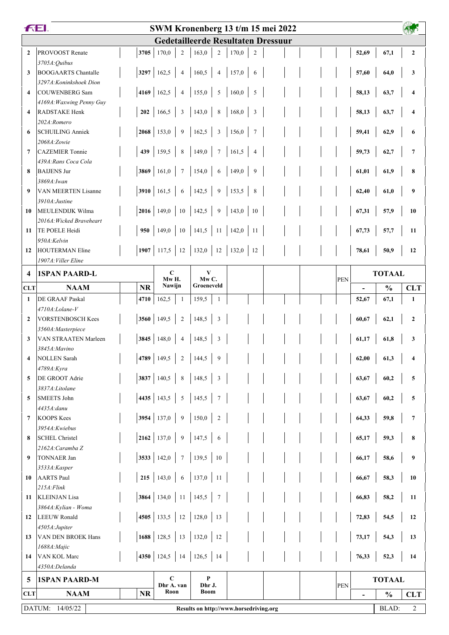| <b>FEI.</b>             |                                           |              |                              | SWM Kronenberg 13 t/m 15 mei 2022                                                  |                          |            |                                                                     |               |                         |
|-------------------------|-------------------------------------------|--------------|------------------------------|------------------------------------------------------------------------------------|--------------------------|------------|---------------------------------------------------------------------|---------------|-------------------------|
|                         |                                           |              |                              | <b>Gedetailleerde Resultaten Dressuur</b>                                          |                          |            |                                                                     |               |                         |
| $\overline{2}$          | PROVOOST Renate                           | 3705         | 170,0<br>$\overline{2}$      | 163,0<br>$\overline{2}$                                                            | 170,0<br>$\overline{c}$  |            | 52,69                                                               | 67,1          | $\mathbf{2}$            |
|                         | 3705A: Quibus                             |              |                              |                                                                                    |                          |            |                                                                     |               |                         |
| 3                       | <b>BOOGAARTS Chantalle</b>                | 3297         | 162,5<br>$\overline{4}$      | 160,5<br>$\overline{4}$                                                            | 157,0<br>6               |            | 57,60                                                               | 64,0          | 3                       |
|                         | 3297A: Koninkshoek Dion                   |              |                              |                                                                                    |                          |            |                                                                     |               |                         |
| $\overline{\mathbf{4}}$ | <b>COUWENBERG Sam</b>                     | 4169         | 162,5<br>$\overline{4}$      | 155,0<br>$\sqrt{5}$                                                                | 160,0<br>5               |            | 58,13                                                               | 63,7          | 4                       |
|                         | 4169A: Waxwing Penny Guy                  |              |                              |                                                                                    |                          |            |                                                                     |               |                         |
| $\overline{\mathbf{4}}$ | <b>RADSTAKE Henk</b>                      | 202          | 166,5<br>$\mathfrak{Z}$      | 143,0<br>$\,$ 8 $\,$                                                               | $\mathfrak z$<br>168,0   |            | 58,13                                                               | 63,7          | $\overline{\mathbf{4}}$ |
|                         | 202A:Romero                               |              |                              |                                                                                    |                          |            |                                                                     |               |                         |
| 6                       | <b>SCHUILING Anniek</b>                   | $2068$ 153,0 | 9                            | 162,5<br>$\overline{\mathbf{3}}$                                                   | 156,0<br>$7\phantom{.0}$ |            | 59,41                                                               | 62,9          | 6                       |
| 7                       | 2068A:Zowie<br><b>CAZEMIER Tonnie</b>     | 439          | 159,5<br>$\,8\,$             | 149,0<br>$\tau$                                                                    | 161,5<br>$\overline{4}$  |            | 59,73                                                               |               | $\overline{7}$          |
|                         | 439A: Rans Coca Cola                      |              |                              |                                                                                    |                          |            |                                                                     | 62,7          |                         |
| 8                       | <b>BAIJENS Jur</b>                        | 3869         | 161,0<br>$\tau$              | 154,0<br>6                                                                         | 9<br>149,0               |            | 61,01                                                               | 61,9          | 8                       |
|                         | 3869A: Iwan                               |              |                              |                                                                                    |                          |            |                                                                     |               |                         |
| 9                       | <b>VAN MEERTEN Lisanne</b>                | 3910 161,5   | 6                            | 142,5<br>$\overline{9}$                                                            | 153,5<br>$\,$ 8 $\,$     |            | 62,40                                                               | 61,0          | 9                       |
|                         | 3910A: Justine                            |              |                              |                                                                                    |                          |            |                                                                     |               |                         |
| 10                      | MEULENDIJK Wilma                          |              | <b>2016</b> 149,0<br>$10\,$  | 142,5<br>$\overline{9}$                                                            | 143,0<br>10              |            | 67,31                                                               | 57,9          | 10                      |
|                         | 2016A: Wicked Braveheart                  |              |                              |                                                                                    |                          |            |                                                                     |               |                         |
| 11                      | TE POELE Heidi                            | 950          | 149,0<br>$10\,$              | 141,5<br>$\vert$ 11                                                                | 142,0<br>11              |            | 67,73                                                               | 57,7          | 11                      |
|                         | 950A:Kelvin                               |              |                              |                                                                                    |                          |            |                                                                     |               |                         |
| 12                      | <b>HOUTERMAN Eline</b>                    |              | 1907 117,5<br>12             | $132,0$ 12                                                                         | 132,0<br>12              |            | 78,61                                                               | 50,9          | 12                      |
|                         | 1907A: Viller Eline                       |              |                              |                                                                                    |                          |            |                                                                     |               |                         |
| $\overline{\mathbf{4}}$ | <b>1SPAN PAARD-L</b>                      |              | $\mathbf C$<br>Mw H.         | V<br>MwC.                                                                          |                          | <b>PEN</b> | <b>TOTAAL</b>                                                       |               |                         |
| <b>CLT</b>              | <b>NAAM</b>                               | <b>NR</b>    | Nawijn                       | Groeneveld                                                                         |                          |            |                                                                     | $\frac{0}{0}$ | <b>CLT</b>              |
| $\mathbf{1}$            | DE GRAAF Paskal                           | 4710         | 162,5<br>1                   | 159,5<br>$\mathbf{1}$                                                              |                          |            | 52,67                                                               | 67,1          | $\mathbf{1}$            |
|                         | 4710A:Lolane-V                            |              |                              |                                                                                    |                          |            |                                                                     |               |                         |
| $\overline{2}$          | <b>VORSTENBOSCH Kees</b>                  | 3560         | 149,5<br>$\overline{2}$      | 148,5<br>$\mathfrak{Z}$                                                            |                          |            | 60,67                                                               | 62,1          | $\mathbf{2}$            |
|                         | 3560A:Masterpiece                         |              |                              |                                                                                    |                          |            |                                                                     |               |                         |
| $\mathbf{3}$            | VAN STRAATEN Marleen                      |              | 3845 148,0<br>$\overline{4}$ | 148,5<br>3                                                                         |                          |            | 61,17                                                               | 61,8          | 3                       |
|                         | 3845A: Mavino                             |              |                              |                                                                                    |                          |            |                                                                     |               |                         |
|                         | <b>NOLLEN</b> Sarah                       |              |                              | $\left  4789 \; \right  149.5 \; \left  2 \; \right  144.5 \; \left  9 \; \right $ |                          |            | $\begin{array}{ c c c c } \hline 62,00 & 61,3 \ \hline \end{array}$ |               | 4                       |
|                         | 4789A:Kyra                                |              |                              |                                                                                    |                          |            |                                                                     |               |                         |
| 5                       | DE GROOT Adrie                            | 3837 140,5   | $\,8\,$                      | 148,5<br>$\mathfrak z$                                                             |                          |            | 63,67                                                               | 60,2          | 5                       |
|                         | 3837A:Litolane<br><b>SMEETS John</b>      | 4435 143,5   |                              | $\overline{7}$                                                                     |                          |            |                                                                     |               |                         |
| 5                       | 4435A:danu                                |              | $\sqrt{5}$                   | 145,5                                                                              |                          |            | 63,67                                                               | 60,2          | $\sqrt{5}$              |
| 7                       | <b>KOOPS Kees</b>                         | 3954         | 137,0<br>9                   | 150,0<br>$\overline{2}$                                                            |                          |            | 64,33                                                               | 59,8          | $\overline{7}$          |
|                         | 3954A:Kwiebus                             |              |                              |                                                                                    |                          |            |                                                                     |               |                         |
| 8                       | <b>SCHEL Christel</b>                     |              | $2162$ 137,0<br>9            | 147,5<br>6                                                                         |                          |            | 65,17                                                               | 59,3          | 8                       |
|                         | 2162A: Caramba Z                          |              |                              |                                                                                    |                          |            |                                                                     |               |                         |
| 9                       | TONNAER Jan                               | 3533 142,0   | $\tau$                       | 139,5<br>10                                                                        |                          |            | 66,17                                                               | 58,6          | 9                       |
|                         | 3533A:Kasper                              |              |                              |                                                                                    |                          |            |                                                                     |               |                         |
| 10                      | <b>AARTS Paul</b>                         | 215          | 143,0<br>6                   | 137,0<br>11                                                                        |                          |            | 66,67                                                               | 58,3          | 10                      |
|                         | $215A$ : Flink                            |              |                              |                                                                                    |                          |            |                                                                     |               |                         |
| 11                      | <b>KLEINJAN</b> Lisa                      |              | 3864 134,0<br>11             | 145,5<br>$\overline{7}$                                                            |                          |            | 66,83                                                               | 58,2          | 11                      |
|                         | 3864A: Kylian - Woma                      |              |                              |                                                                                    |                          |            |                                                                     |               |                         |
| 12                      | <b>LEEUW Ronald</b>                       | 4505   133,5 | $12\,$                       | 128,0<br>13                                                                        |                          |            | 72,83                                                               | 54,5          | 12                      |
|                         | 4505A:Jupiter                             |              |                              |                                                                                    |                          |            |                                                                     |               |                         |
| 13                      | <b>VAN DEN BROEK Hans</b><br>1688A: Majic |              | 1688 128,5<br>13             | 132,0<br>12                                                                        |                          |            | 73,17                                                               | 54,3          | 13                      |
| 14                      | VAN KOL Marc                              | 4350 124,5   | 14                           | 126,5<br>14                                                                        |                          |            | 76,33                                                               | 52,3          | 14                      |
|                         | 4350A:Delanda                             |              |                              |                                                                                    |                          |            |                                                                     |               |                         |
|                         | <b>1SPAN PAARD-M</b>                      |              | $\mathbf C$                  | $\mathbf{P}$                                                                       |                          |            |                                                                     | <b>TOTAAL</b> |                         |
| 5                       |                                           |              | Dhr A. van                   | Dhr J.                                                                             |                          | <b>PEN</b> |                                                                     |               |                         |
| <b>CLT</b>              | <b>NAAM</b>                               | <b>NR</b>    | Roon                         | Boom                                                                               |                          |            | $\overline{\phantom{0}}$                                            | $\frac{0}{0}$ | <b>CLT</b>              |
|                         | DATUM: 14/05/22                           |              |                              | Results on http://www.horsedriving.org                                             |                          |            |                                                                     | <b>BLAD:</b>  | $\overline{2}$          |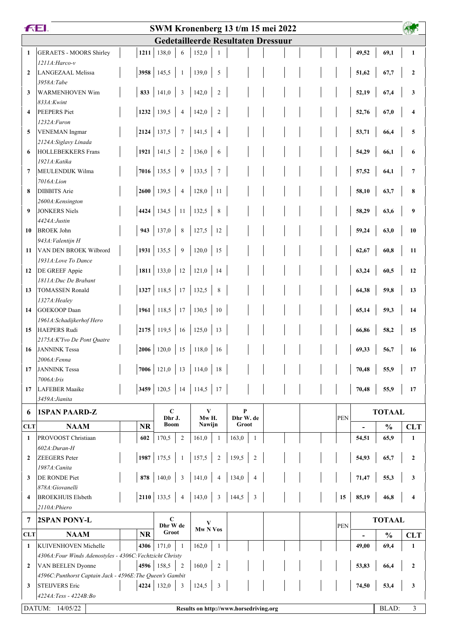| <b>Gedetailleerde Resultaten Dressuur</b><br>138,0<br>69,1<br><b>GERAETS - MOORS Shirley</b><br>1211<br>152,0<br>49,52<br>$\mathbf{1}$<br>$\mathbf{1}$<br>6<br>-1<br>1211A: Harco-v<br>3958<br>145,5<br>139,0<br><b>LANGEZAAL Melissa</b><br>5<br>51,62<br>67,7<br>$\mathbf{2}$<br>$\overline{2}$<br>$\mathbf{1}$<br>3958A:Tabe<br>141,0<br>833<br>$\mathfrak{Z}$<br>142,0<br><b>WARMENHOVEN Wim</b><br>$\overline{2}$<br>52,19<br>67,4<br>3<br>3<br>833A:Kwint<br>139,5<br>1232<br>142,0<br><b>PEEPERS</b> Piet<br>$\overline{4}$<br>$\sqrt{2}$<br>52,76<br>67,0<br>$\overline{\mathbf{4}}$<br>4<br>1232A:Furon<br>137,5<br>2124<br>$\overline{7}$<br>141,5<br>5<br><b>VENEMAN</b> Ingmar<br>53,71<br>5<br>$\overline{4}$<br>66,4<br>2124A: Siglavy Linada<br>1921<br>141,5<br><b>HOLLEBEKKERS Frans</b><br>$\overline{2}$<br>136,0<br>54,29<br>66,1<br>6<br>6<br>6<br>1921A: Katika<br>7016<br>135,5<br>$\boldsymbol{9}$<br>133,5<br>$7\phantom{.0}$<br>MEULENDIJK Wilma<br>$\tau$<br>57,52<br>$\overline{7}$<br>64,1<br>7016A:Lion |   | <b>FEI.</b><br>SWM Kronenberg 13 t/m 15 mei 2022 |                      |                         |              |  |  |  |       |      |   |  |
|---------------------------------------------------------------------------------------------------------------------------------------------------------------------------------------------------------------------------------------------------------------------------------------------------------------------------------------------------------------------------------------------------------------------------------------------------------------------------------------------------------------------------------------------------------------------------------------------------------------------------------------------------------------------------------------------------------------------------------------------------------------------------------------------------------------------------------------------------------------------------------------------------------------------------------------------------------------------------------------------------------------------------------------|---|--------------------------------------------------|----------------------|-------------------------|--------------|--|--|--|-------|------|---|--|
|                                                                                                                                                                                                                                                                                                                                                                                                                                                                                                                                                                                                                                                                                                                                                                                                                                                                                                                                                                                                                                       |   |                                                  |                      |                         |              |  |  |  |       |      |   |  |
|                                                                                                                                                                                                                                                                                                                                                                                                                                                                                                                                                                                                                                                                                                                                                                                                                                                                                                                                                                                                                                       |   |                                                  |                      |                         |              |  |  |  |       |      |   |  |
|                                                                                                                                                                                                                                                                                                                                                                                                                                                                                                                                                                                                                                                                                                                                                                                                                                                                                                                                                                                                                                       |   |                                                  |                      |                         |              |  |  |  |       |      |   |  |
|                                                                                                                                                                                                                                                                                                                                                                                                                                                                                                                                                                                                                                                                                                                                                                                                                                                                                                                                                                                                                                       |   |                                                  |                      |                         |              |  |  |  |       |      |   |  |
|                                                                                                                                                                                                                                                                                                                                                                                                                                                                                                                                                                                                                                                                                                                                                                                                                                                                                                                                                                                                                                       |   |                                                  |                      |                         |              |  |  |  |       |      |   |  |
|                                                                                                                                                                                                                                                                                                                                                                                                                                                                                                                                                                                                                                                                                                                                                                                                                                                                                                                                                                                                                                       |   |                                                  |                      |                         |              |  |  |  |       |      |   |  |
|                                                                                                                                                                                                                                                                                                                                                                                                                                                                                                                                                                                                                                                                                                                                                                                                                                                                                                                                                                                                                                       |   |                                                  |                      |                         |              |  |  |  |       |      |   |  |
|                                                                                                                                                                                                                                                                                                                                                                                                                                                                                                                                                                                                                                                                                                                                                                                                                                                                                                                                                                                                                                       |   |                                                  |                      |                         |              |  |  |  |       |      |   |  |
|                                                                                                                                                                                                                                                                                                                                                                                                                                                                                                                                                                                                                                                                                                                                                                                                                                                                                                                                                                                                                                       |   |                                                  |                      |                         |              |  |  |  |       |      |   |  |
|                                                                                                                                                                                                                                                                                                                                                                                                                                                                                                                                                                                                                                                                                                                                                                                                                                                                                                                                                                                                                                       |   |                                                  |                      |                         |              |  |  |  |       |      |   |  |
|                                                                                                                                                                                                                                                                                                                                                                                                                                                                                                                                                                                                                                                                                                                                                                                                                                                                                                                                                                                                                                       |   |                                                  |                      |                         |              |  |  |  |       |      |   |  |
|                                                                                                                                                                                                                                                                                                                                                                                                                                                                                                                                                                                                                                                                                                                                                                                                                                                                                                                                                                                                                                       |   |                                                  |                      |                         |              |  |  |  |       |      |   |  |
|                                                                                                                                                                                                                                                                                                                                                                                                                                                                                                                                                                                                                                                                                                                                                                                                                                                                                                                                                                                                                                       |   |                                                  |                      |                         |              |  |  |  |       |      |   |  |
|                                                                                                                                                                                                                                                                                                                                                                                                                                                                                                                                                                                                                                                                                                                                                                                                                                                                                                                                                                                                                                       | 8 | <b>DIBBITS</b> Arie                              | $\vert$ 2600 $\vert$ | 139,5<br>$\overline{4}$ | 128,0<br>-11 |  |  |  | 58,10 | 63,7 | 8 |  |
| 2600A:Kensington                                                                                                                                                                                                                                                                                                                                                                                                                                                                                                                                                                                                                                                                                                                                                                                                                                                                                                                                                                                                                      |   |                                                  |                      |                         |              |  |  |  |       |      |   |  |
| 4424<br>134,5<br>$11\,$<br>132,5<br>$\,$ 8 $\,$<br><b>JONKERS Niels</b><br>58,29<br>63,6<br>9<br>9                                                                                                                                                                                                                                                                                                                                                                                                                                                                                                                                                                                                                                                                                                                                                                                                                                                                                                                                    |   |                                                  |                      |                         |              |  |  |  |       |      |   |  |
| 4424A: Justin                                                                                                                                                                                                                                                                                                                                                                                                                                                                                                                                                                                                                                                                                                                                                                                                                                                                                                                                                                                                                         |   |                                                  |                      |                         |              |  |  |  |       |      |   |  |
| $\,8\,$<br>943<br>137,0<br>127,5<br><b>BROEK John</b><br>12<br>59,24<br>63,0<br>10<br>10                                                                                                                                                                                                                                                                                                                                                                                                                                                                                                                                                                                                                                                                                                                                                                                                                                                                                                                                              |   |                                                  |                      |                         |              |  |  |  |       |      |   |  |
| 943A: Valentijn H                                                                                                                                                                                                                                                                                                                                                                                                                                                                                                                                                                                                                                                                                                                                                                                                                                                                                                                                                                                                                     |   |                                                  |                      |                         |              |  |  |  |       |      |   |  |
| 1931<br>135,5<br>$\overline{9}$<br>120,0<br>VAN DEN BROEK Wilbrord<br>15<br>62,67<br>60,8<br>11<br>11<br>1931A:Love To Dance                                                                                                                                                                                                                                                                                                                                                                                                                                                                                                                                                                                                                                                                                                                                                                                                                                                                                                          |   |                                                  |                      |                         |              |  |  |  |       |      |   |  |
| 1811 133,0 12<br>$\vert$ 121,0<br>DE GREEF Appie<br>$\vert$ 14<br>63,24<br>60,5<br>12<br>12                                                                                                                                                                                                                                                                                                                                                                                                                                                                                                                                                                                                                                                                                                                                                                                                                                                                                                                                           |   |                                                  |                      |                         |              |  |  |  |       |      |   |  |
| 1811A: Duc De Brabant                                                                                                                                                                                                                                                                                                                                                                                                                                                                                                                                                                                                                                                                                                                                                                                                                                                                                                                                                                                                                 |   |                                                  |                      |                         |              |  |  |  |       |      |   |  |
| $\vert$ 1327 $\vert$<br>$118,5$ 17 132,5<br>64,38<br>59,8<br><b>TOMASSEN Ronald</b><br>8<br>13<br>13                                                                                                                                                                                                                                                                                                                                                                                                                                                                                                                                                                                                                                                                                                                                                                                                                                                                                                                                  |   |                                                  |                      |                         |              |  |  |  |       |      |   |  |
| 1327A: Healey                                                                                                                                                                                                                                                                                                                                                                                                                                                                                                                                                                                                                                                                                                                                                                                                                                                                                                                                                                                                                         |   |                                                  |                      |                         |              |  |  |  |       |      |   |  |
| 1961 118,5 17<br>130,5<br><b>GOEKOOP</b> Daan<br>10<br>65,14<br>59,3<br>14<br>14                                                                                                                                                                                                                                                                                                                                                                                                                                                                                                                                                                                                                                                                                                                                                                                                                                                                                                                                                      |   |                                                  |                      |                         |              |  |  |  |       |      |   |  |
| 1961A:Schadijkerhof Hero<br>2175<br>$119,5$ 16<br> 125,0 <br><b>HAEPERS Rudi</b><br>66,86<br>58,2<br>15<br>13<br>15                                                                                                                                                                                                                                                                                                                                                                                                                                                                                                                                                                                                                                                                                                                                                                                                                                                                                                                   |   |                                                  |                      |                         |              |  |  |  |       |      |   |  |
| 2175A:K'Yvo De Pont Quatre                                                                                                                                                                                                                                                                                                                                                                                                                                                                                                                                                                                                                                                                                                                                                                                                                                                                                                                                                                                                            |   |                                                  |                      |                         |              |  |  |  |       |      |   |  |
| 2006 <br>$120,0$ 15<br>  $118,0$<br>69,33<br><b>JANNINK Tessa</b><br>-16<br>56,7<br>16<br>16                                                                                                                                                                                                                                                                                                                                                                                                                                                                                                                                                                                                                                                                                                                                                                                                                                                                                                                                          |   |                                                  |                      |                         |              |  |  |  |       |      |   |  |
| 2006A: Fenna                                                                                                                                                                                                                                                                                                                                                                                                                                                                                                                                                                                                                                                                                                                                                                                                                                                                                                                                                                                                                          |   |                                                  |                      |                         |              |  |  |  |       |      |   |  |
| 121,0<br>13<br>114,0<br> 18<br>7006<br><b>JANNINK Tessa</b><br>70,48<br>55,9<br>17<br>17                                                                                                                                                                                                                                                                                                                                                                                                                                                                                                                                                                                                                                                                                                                                                                                                                                                                                                                                              |   |                                                  |                      |                         |              |  |  |  |       |      |   |  |
| 7006A: Iris                                                                                                                                                                                                                                                                                                                                                                                                                                                                                                                                                                                                                                                                                                                                                                                                                                                                                                                                                                                                                           |   |                                                  |                      |                         |              |  |  |  |       |      |   |  |
| <b>3459</b>   120,5   14   114,5   17<br><b>LAFEBER Maaike</b><br>70,48<br>55,9<br>17<br>17<br>3459A: Jianita                                                                                                                                                                                                                                                                                                                                                                                                                                                                                                                                                                                                                                                                                                                                                                                                                                                                                                                         |   |                                                  |                      |                         |              |  |  |  |       |      |   |  |
| $\mathbf C$<br>P<br>V<br><b>TOTAAL</b>                                                                                                                                                                                                                                                                                                                                                                                                                                                                                                                                                                                                                                                                                                                                                                                                                                                                                                                                                                                                |   |                                                  |                      |                         |              |  |  |  |       |      |   |  |
| <b>1SPAN PAARD-Z</b><br>6<br>Dhr W. de<br>Dhr J.<br>Mw H.<br><b>PEN</b>                                                                                                                                                                                                                                                                                                                                                                                                                                                                                                                                                                                                                                                                                                                                                                                                                                                                                                                                                               |   |                                                  |                      |                         |              |  |  |  |       |      |   |  |
| <b>Boom</b><br>Groot<br>Nawijn<br><b>NAAM</b><br><b>NR</b><br>$\frac{0}{0}$<br><b>CLT</b><br><b>CLT</b>                                                                                                                                                                                                                                                                                                                                                                                                                                                                                                                                                                                                                                                                                                                                                                                                                                                                                                                               |   |                                                  |                      |                         |              |  |  |  |       |      |   |  |
| PROVOOST Christiaan<br>170,5<br>65,9<br>1<br>602<br>2<br>161,0<br>$\mathbf{1}$<br>163,0<br>54,51<br>$\mathbf{1}$<br>1                                                                                                                                                                                                                                                                                                                                                                                                                                                                                                                                                                                                                                                                                                                                                                                                                                                                                                                 |   |                                                  |                      |                         |              |  |  |  |       |      |   |  |
| 602A:Duran-H<br>1987<br>157,5<br>159,5<br><b>ZEEGERS</b> Peter<br>175,5<br>$\overline{2}$<br>$\overline{2}$<br>54,93<br>$\boldsymbol{2}$<br>65,7<br>$\mathbf{2}$<br>-1                                                                                                                                                                                                                                                                                                                                                                                                                                                                                                                                                                                                                                                                                                                                                                                                                                                                |   |                                                  |                      |                         |              |  |  |  |       |      |   |  |
| 1987A: Canita                                                                                                                                                                                                                                                                                                                                                                                                                                                                                                                                                                                                                                                                                                                                                                                                                                                                                                                                                                                                                         |   |                                                  |                      |                         |              |  |  |  |       |      |   |  |
| DE RONDE Piet<br>878<br>140,0<br>3<br>141,0<br>134,0<br>71,47<br>55,3<br>3<br>$\overline{4}$<br>$\overline{4}$<br>3                                                                                                                                                                                                                                                                                                                                                                                                                                                                                                                                                                                                                                                                                                                                                                                                                                                                                                                   |   |                                                  |                      |                         |              |  |  |  |       |      |   |  |
| 878A: Giovanelli                                                                                                                                                                                                                                                                                                                                                                                                                                                                                                                                                                                                                                                                                                                                                                                                                                                                                                                                                                                                                      |   |                                                  |                      |                         |              |  |  |  |       |      |   |  |
| $2110$ 133,5<br>$\mathfrak{Z}$<br>3<br><b>BROEKHUIS Elsbeth</b><br>$\overline{4}$<br>143,0<br>144,5<br>15<br>85,19<br>46,8<br>$\overline{\mathbf{4}}$<br>$\overline{4}$                                                                                                                                                                                                                                                                                                                                                                                                                                                                                                                                                                                                                                                                                                                                                                                                                                                               |   |                                                  |                      |                         |              |  |  |  |       |      |   |  |
| 2110A: Phiero                                                                                                                                                                                                                                                                                                                                                                                                                                                                                                                                                                                                                                                                                                                                                                                                                                                                                                                                                                                                                         |   |                                                  |                      |                         |              |  |  |  |       |      |   |  |
| $\mathbf C$<br><b>TOTAAL</b><br>2SPAN PONY-L<br>7<br>V<br>Dhr W de<br><b>PEN</b>                                                                                                                                                                                                                                                                                                                                                                                                                                                                                                                                                                                                                                                                                                                                                                                                                                                                                                                                                      |   |                                                  |                      |                         |              |  |  |  |       |      |   |  |
| Mw N Vos<br>Groot<br><b>NR</b><br><b>NAAM</b><br><b>CLT</b><br>$\frac{0}{0}$<br><b>CLT</b>                                                                                                                                                                                                                                                                                                                                                                                                                                                                                                                                                                                                                                                                                                                                                                                                                                                                                                                                            |   |                                                  |                      |                         |              |  |  |  |       |      |   |  |
| KUIVENHOVEN Michelle<br>171,0<br>162,0<br>4306<br>-1<br>49,00<br>69,4<br>$\mathbf{1}$<br>1<br>-1                                                                                                                                                                                                                                                                                                                                                                                                                                                                                                                                                                                                                                                                                                                                                                                                                                                                                                                                      |   |                                                  |                      |                         |              |  |  |  |       |      |   |  |
| 4306A: Four Winds Adenostyles - 4306C: Vechtzicht Christy                                                                                                                                                                                                                                                                                                                                                                                                                                                                                                                                                                                                                                                                                                                                                                                                                                                                                                                                                                             |   |                                                  |                      |                         |              |  |  |  |       |      |   |  |
| 4596 158,5<br>160,0<br>VAN BEELEN Dyonne<br>2<br>$\overline{2}$<br>53,83<br>$\boldsymbol{2}$<br>$\overline{2}$<br>66,4                                                                                                                                                                                                                                                                                                                                                                                                                                                                                                                                                                                                                                                                                                                                                                                                                                                                                                                |   |                                                  |                      |                         |              |  |  |  |       |      |   |  |
| 4596C: Punthorst Captain Jack - 4596E: The Queen's Gambit<br>132,0<br>4224<br>3<br>124,5<br>$\mathfrak{Z}$<br>74,50<br>53,4<br>3<br><b>STEIJVERS Eric</b><br>3                                                                                                                                                                                                                                                                                                                                                                                                                                                                                                                                                                                                                                                                                                                                                                                                                                                                        |   |                                                  |                      |                         |              |  |  |  |       |      |   |  |
| 4224A:Tess - 4224B:Bo                                                                                                                                                                                                                                                                                                                                                                                                                                                                                                                                                                                                                                                                                                                                                                                                                                                                                                                                                                                                                 |   |                                                  |                      |                         |              |  |  |  |       |      |   |  |
| DATUM: 14/05/22<br>BLAD:<br>3<br>Results on http://www.horsedriving.org                                                                                                                                                                                                                                                                                                                                                                                                                                                                                                                                                                                                                                                                                                                                                                                                                                                                                                                                                               |   |                                                  |                      |                         |              |  |  |  |       |      |   |  |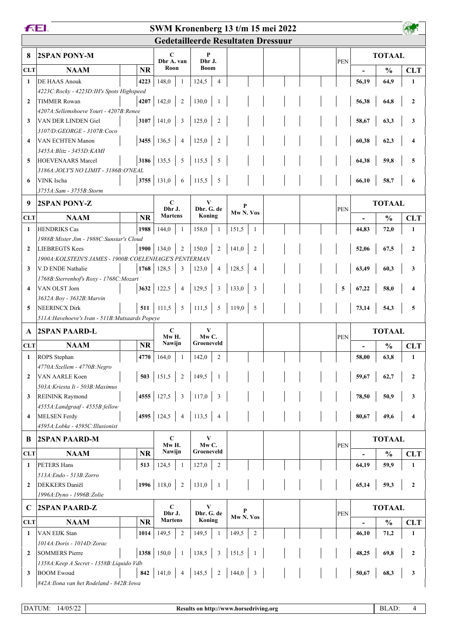| <b>FEL</b>                                      |                                                                                  |           |                                |                         | SWM Kronenberg 13 t/m 15 mei 2022  |  |            |       |               |                  |
|-------------------------------------------------|----------------------------------------------------------------------------------|-----------|--------------------------------|-------------------------|------------------------------------|--|------------|-------|---------------|------------------|
|                                                 |                                                                                  |           |                                |                         | Gedetailleerde Resultaten Dressuur |  |            |       |               |                  |
| 8                                               | 2SPAN PONY-M                                                                     |           | C                              | P                       |                                    |  |            |       | <b>TOTAAL</b> |                  |
| <b>CLT</b>                                      | <b>NAAM</b>                                                                      | <b>NR</b> | Dhr A. van<br>Roon             | Dhr J.<br><b>Boom</b>   |                                    |  | PEN        |       |               |                  |
| $\mathbf{1}$                                    | DE HAAS Anouk                                                                    |           | $\mathbf{1}$                   | $\overline{4}$          |                                    |  |            | 56,19 | $\frac{0}{0}$ | <b>CLT</b>       |
|                                                 | 4223C:Rocky - 4223D:IH's Spots Highspeed                                         | 4223      | 148,0                          | 124,5                   |                                    |  |            |       | 64,9          | 1                |
| $\mathbf{2}$                                    | <b>TIMMER Rowan</b>                                                              |           | 4207 142,0<br>2                | 130,0                   |                                    |  |            | 56,38 | 64,8          | $\mathbf{2}$     |
|                                                 | 4207A:Sellemshoeve Youri - 4207B:Renee                                           |           |                                |                         |                                    |  |            |       |               |                  |
| 3                                               | VAN DER LINDEN Giel                                                              |           | 3107 141,0<br>$\mathfrak{Z}$   | 125,0<br>$\overline{c}$ |                                    |  |            | 58,67 | 63,3          | 3                |
|                                                 | 3107/D:GEORGE - 3107B:Coco                                                       |           |                                |                         |                                    |  |            |       |               |                  |
| 4                                               | VAN ECHTEN Manon                                                                 |           | 3455 136,5<br>$\overline{4}$   | 125,0<br>$\overline{c}$ |                                    |  |            | 60,38 | 62,3          |                  |
|                                                 | 3455A: Blitz - 3455D: KAMI                                                       |           |                                |                         |                                    |  |            |       |               |                  |
| 5                                               | <b>HOEVENAARS Marcel</b>                                                         |           | 3186 135,5<br>5                | 115,5<br>5              |                                    |  |            | 64,38 | 59,8          | 5                |
| 6                                               | 3186A: JOLY'S NO LIMIT - 3186B: O'NEAL<br>VINK Ischa                             |           | 3755 131,0<br>6                | 115,5<br>5              |                                    |  |            | 66,10 | 58,7          | 6                |
|                                                 | 3755A: Sam - 3755B: Storm                                                        |           |                                |                         |                                    |  |            |       |               |                  |
| 9                                               | <b>2SPAN PONY-Z</b>                                                              |           | $\mathbf C$                    | V                       |                                    |  |            |       | <b>TOTAAL</b> |                  |
|                                                 |                                                                                  |           | Dhr.J.                         | Dhr. G. de              | P<br>Mw <sub>N.</sub> Vos          |  | <b>PEN</b> |       |               |                  |
| <b>CLT</b>                                      | <b>NAAM</b>                                                                      | <b>NR</b> | <b>Martens</b>                 | Koning                  |                                    |  |            |       | $\frac{0}{0}$ | <b>CLT</b>       |
| $\mathbf{1}$                                    | <b>HENDRIKS Cas</b>                                                              | 1988      | 144,0<br>-1                    | 158,0<br>1              | 151,5<br>1                         |  |            | 44,83 | 72,0          | 1                |
|                                                 | 1988B: Mister Jim - 1988C: Sunstar's Cloud                                       |           |                                |                         |                                    |  |            |       |               |                  |
| $\overline{2}$                                  | <b>LIEBREGTS Kees</b><br>1900A: KOLSTEIN'S JAMES - 1900B: COELENHAGE'S PENTERMAN |           | 1900 134,0<br>2                | 150,0<br>$\sqrt{2}$     | 141,0<br>$\overline{2}$            |  |            | 52,06 | 67,5          | $\mathbf{2}$     |
| 3                                               | V.D ENDE Nathalie                                                                |           | $1768$ 128,5<br>3              | 123,0<br>4              | 128,5<br>4                         |  |            | 63,49 | 60,3          | 3                |
|                                                 | 1768B: Sterrenhof's Roxy - 1768C: Mozart                                         |           |                                |                         |                                    |  |            |       |               |                  |
| 4                                               | VAN OLST Jorn                                                                    | 3632      | 122,5<br>$\overline{4}$        | 129,5<br>3              | 133,0<br>3                         |  | 5          | 67,22 | 58,0          |                  |
|                                                 | 3632A: Boy - 3632B: Marvin                                                       |           |                                |                         |                                    |  |            |       |               |                  |
| 5                                               | <b>NEERINCX Dirk</b>                                                             |           | $511$ 111,5<br>$5\overline{)}$ | 111,5   5               | 119,0<br>$5\phantom{.0}$           |  |            | 73,14 | 54,3          | 5                |
| 511A: Havehoeve's Ivan - 511B: Mutsaards Popeye |                                                                                  |           |                                |                         |                                    |  |            |       |               |                  |
| A                                               | <b>2SPAN PAARD-L</b>                                                             |           | $\mathbf C$<br>Mw H.           | V<br>MwC.               |                                    |  | <b>PEN</b> |       | <b>TOTAAL</b> |                  |
| <b>CLT</b>                                      | <b>NAAM</b>                                                                      | <b>NR</b> | Nawijn                         | Groeneveld              |                                    |  |            |       | $\frac{0}{0}$ | <b>CLT</b>       |
| 1                                               | ROPS Stephan                                                                     | 4770      | 164,0                          | 142,0<br>$\overline{c}$ |                                    |  |            | 58,00 | 63,8          | 1                |
|                                                 | 4770A:Szellem - 4770B:Negro                                                      |           |                                |                         |                                    |  |            |       |               |                  |
| $\mathbf{2}$                                    | VAN AARLE Koen                                                                   |           | $503$   151,5<br>2             | 149,5                   |                                    |  |            | 59,67 | 62,7          | $\mathbf{2}$     |
|                                                 | 503A: Kriesta Ii - 503B: Maximus                                                 |           |                                |                         |                                    |  |            |       |               |                  |
| 3                                               | <b>REININK Raymond</b>                                                           |           | 4555 127,5<br>3                | 117,0<br>3              |                                    |  |            | 78,50 | 50,9          | 3                |
| 4                                               | 4555A: Landgraaf - 4555B: fellow<br>MELSEN Ferdy                                 |           | 4595 124,5<br>$\overline{4}$   | 113,5<br>$\overline{4}$ |                                    |  |            | 80,67 | 49,6          | 4                |
|                                                 | 4595A:Lobke - 4595C:Illusionist                                                  |           |                                |                         |                                    |  |            |       |               |                  |
| B                                               | 2SPAN PAARD-M                                                                    |           | $\mathbf C$                    | V                       |                                    |  |            |       | <b>TOTAAL</b> |                  |
|                                                 |                                                                                  |           | Mw H.                          | MwC.<br>Groeneveld      |                                    |  | <b>PEN</b> |       |               |                  |
| <b>CLT</b>                                      | <b>NAAM</b>                                                                      | <b>NR</b> | Nawijn                         |                         |                                    |  |            |       | $\frac{0}{0}$ | <b>CLT</b>       |
| 1                                               | <b>PETERS Hans</b>                                                               | 513       | 124,5<br>-1                    | 127,0<br>$\overline{c}$ |                                    |  |            | 64,19 | 59,9          | 1                |
| $\mathbf{2}$                                    | 513A: Endo - 513B: Zorro<br>DEKKERS Daniël                                       |           | 1996 118,0<br>2                | 131,0                   |                                    |  |            | 65,14 | 59,3          | $\mathbf{2}$     |
|                                                 | 1996A: Dyno - 1996B: Zolie                                                       |           |                                |                         |                                    |  |            |       |               |                  |
| $\mathbf C$                                     | <b>2SPAN PAARD-Z</b>                                                             |           | $\mathbf C$                    | V                       |                                    |  |            |       | <b>TOTAAL</b> |                  |
|                                                 |                                                                                  |           | Dhr J.                         | Dhr. G. de              | P<br>Mw <sub>N.</sub> Vos          |  | PEN        |       |               |                  |
| <b>CLT</b>                                      | <b>NAAM</b>                                                                      | <b>NR</b> | <b>Martens</b>                 | Koning                  |                                    |  |            |       | $\frac{0}{0}$ | <b>CLT</b>       |
| 1                                               | VAN EIJK Stan                                                                    | 1014      | 149,5<br>2                     | 149,5<br>-1             | 149,5<br>$\overline{c}$            |  |            | 46,10 | 71,2          | 1                |
|                                                 | 1014A: Doris - 1014D: Zorac                                                      |           |                                |                         |                                    |  |            |       |               |                  |
| $\mathbf{2}$                                    | <b>SOMMERS Pierre</b>                                                            |           | 1358 150,0<br>$\mathbf{1}$     | 138,5<br>$\mathfrak{Z}$ | 151,5                              |  |            | 48,25 | 69,8          | $\boldsymbol{2}$ |
| 3                                               | 1358A: Keep A Secret - 1358B: Liquido Vdb<br><b>BOOM</b> Ewoud                   | 842       | 141,0<br>$\overline{4}$        | 145,5<br>2              | 144,0<br>$\mathbf{3}$              |  |            | 50,67 | 68,3          | 3                |
|                                                 | 842A: Ilona van het Rodeland - 842B: Iowa                                        |           |                                |                         |                                    |  |            |       |               |                  |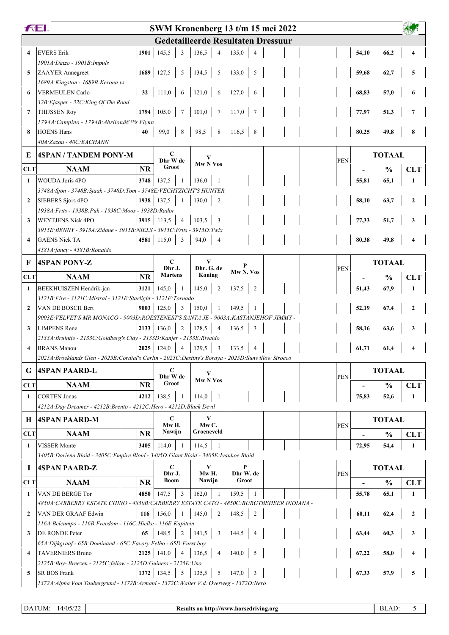| <b>Gedetailleerde Resultaten Dressuur</b><br><b>EVERS Erik</b><br>$\overline{\mathbf{4}}$<br>1901<br>145,5<br>3<br>136,5<br>135,0<br>$\overline{4}$<br>$\overline{\mathcal{A}}$<br>1901A:Datzo - 1901B:Impuls<br>1689 127,5<br>5<br>134,5<br>$5\overline{)}$<br>133,0<br>5<br>5<br><b>ZAAYER</b> Annegreet |  |            | 54,10          | 66,2          | $\boldsymbol{4}$ |
|------------------------------------------------------------------------------------------------------------------------------------------------------------------------------------------------------------------------------------------------------------------------------------------------------------|--|------------|----------------|---------------|------------------|
|                                                                                                                                                                                                                                                                                                            |  |            |                |               |                  |
|                                                                                                                                                                                                                                                                                                            |  |            |                |               |                  |
|                                                                                                                                                                                                                                                                                                            |  |            |                |               |                  |
|                                                                                                                                                                                                                                                                                                            |  |            | 59,68          | 62,7          | 5                |
| 1689A: Kingston - 1689B: Kerona vs                                                                                                                                                                                                                                                                         |  |            |                |               |                  |
| 111,0<br>121,0<br>127,0<br>32<br>6<br>6<br>6<br><b>VERMEULEN Carlo</b><br>6                                                                                                                                                                                                                                |  |            | 68,83          | 57,0          | 6                |
| 32B: Ejasper - 32C: King Of The Road                                                                                                                                                                                                                                                                       |  |            |                |               |                  |
| 1794 105,0<br>$7\phantom{.0}$<br>101,0<br>$\tau$<br> 117,0 <br>7<br><b>THIJSSEN Roy</b>                                                                                                                                                                                                                    |  |            | 77,97          | 51,3          | 7                |
| 1794A: Campino - 1794B: Abrilon's Flynn                                                                                                                                                                                                                                                                    |  |            |                |               |                  |
| 116,5<br><b>HOENS Hans</b><br>99,0<br>8<br>98,5<br>8<br>8<br>8<br>40                                                                                                                                                                                                                                       |  |            | 80,25          | 49,8          | 8                |
| 40A:Zazou - 40C:EACHANN                                                                                                                                                                                                                                                                                    |  |            |                |               |                  |
| $\mathbf C$<br><b>4SPAN / TANDEM PONY-M</b><br>E<br>Dhr W de                                                                                                                                                                                                                                               |  | <b>PEN</b> |                | <b>TOTAAL</b> |                  |
| Mw N Vos<br>Groot<br><b>NR</b><br><b>NAAM</b><br><b>CLT</b>                                                                                                                                                                                                                                                |  |            |                | $\frac{0}{0}$ | <b>CLT</b>       |
| <b>WOUDA</b> Joris 4PO<br>3748<br>137,5<br>136,0<br>$\mathbf{1}$<br>$\overline{1}$<br>-1                                                                                                                                                                                                                   |  |            | 55,81          | 65,1          | 1                |
| 3748A: Sjon - 3748B: Sjaak - 3748D: Tom - 3748E: VECHTZICHT'S HUNTER                                                                                                                                                                                                                                       |  |            |                |               |                  |
| 1938<br>137,5<br>$\mathbf{2}$<br><b>SIEBERS Sjors 4PO</b><br>130,0<br>$\mathbf{1}$<br>2                                                                                                                                                                                                                    |  |            | 58,10          | 63,7          | $\mathbf{2}$     |
| 1938A: Frits - 1938B: Puk - 1938C: Moos - 1938D: Rador                                                                                                                                                                                                                                                     |  |            |                |               |                  |
| <b>WEYTJENS Nick 4PO</b><br>3915 113,5<br>103,5<br>3<br>$\overline{4}$<br>3                                                                                                                                                                                                                                |  |            | 77,33          | 51,7          | 3                |
| 3915E: BENNY - 3915A: Zidane - 3915B: NIELS - 3915C: Frits - 3915D: Twix                                                                                                                                                                                                                                   |  |            |                |               |                  |
| <b>GAENS Nick TA</b><br>4581<br>3<br>115,0<br>94,0<br>$\overline{\mathbf{4}}$                                                                                                                                                                                                                              |  |            | 80,38          | 49,8          |                  |
| 4581A:fancy - 4581B:Ronaldo                                                                                                                                                                                                                                                                                |  |            |                |               |                  |
| $\mathbf C$<br>V<br>F<br><b>4SPAN PONY-Z</b><br>Dhr J.<br>Dhr. G. de                                                                                                                                                                                                                                       |  |            | <b>TOTAAL</b>  |               |                  |
| Mw <sub>N</sub> . Vos<br><b>Martens</b><br>Koning<br><b>CLT</b><br><b>NR</b><br><b>NAAM</b>                                                                                                                                                                                                                |  | <b>PEN</b> |                | $\frac{0}{0}$ | <b>CLT</b>       |
| 3121<br>145,0<br>145,0<br>$\overline{2}$<br>137,5<br>$\overline{2}$<br>BEEKHUISZEN Hendrik-jan<br>1                                                                                                                                                                                                        |  |            | 51,43          | 67,9          | 1                |
| 3121B: Fire - 3121C: Mistral - 3121E: Starlight - 3121F: Tornado                                                                                                                                                                                                                                           |  |            |                |               |                  |
| 9003<br>125,0<br>3<br>150,0<br>149.5<br>$\overline{2}$<br>VAN DE BOSCH Bert                                                                                                                                                                                                                                |  |            | 52,19          | 67,4          | $\mathbf{2}$     |
| 9003E: VELVET'S MR MONACO - 9003D: ROESTENEST'S SANTA JE - 9003A: KASTANJEHOF JIMMY -                                                                                                                                                                                                                      |  |            |                |               |                  |
| 2133<br>136,0<br>$\overline{2}$<br>128,5<br>136,5<br>3<br><b>LIMPENS</b> Rene<br>3<br>$\overline{4}$                                                                                                                                                                                                       |  |            | 58,16          | 63,6          | 3                |
| 2133A: Bruintje - 2133C: Goldberg's Clay - 2133D: Kanjer - 2133E: Rivaldo                                                                                                                                                                                                                                  |  |            |                |               |                  |
| $2025$ 124,0<br>$\overline{4}$<br>129,5<br><b>BRANS</b> Manou<br>$\overline{\mathbf{3}}$<br>133,5<br>$\overline{\mathbf{4}}$<br>4                                                                                                                                                                          |  |            | 61,71          | 61,4          |                  |
| 2025A: Broeklands Glen - 2025B: Cordial's Carlin - 2025C: Destiny's Boraya - 2025D: Sunwillow Sirocco                                                                                                                                                                                                      |  |            |                |               |                  |
| $\mathbf C$<br><b>4SPAN PAARD-L</b><br>G<br>Dhr W de                                                                                                                                                                                                                                                       |  | <b>PEN</b> |                | <b>TOTAAL</b> |                  |
| Mw N Vos<br>Groot<br><b>CLT</b><br><b>NAAM</b><br><b>NR</b>                                                                                                                                                                                                                                                |  |            |                | $\frac{0}{0}$ | <b>CLT</b>       |
| <b>CORTEN Jonas</b><br>$\mathbf{1}$<br>4212<br>138,5<br>114,0                                                                                                                                                                                                                                              |  |            | 75,83          | 52,6          | 1                |
| 4212A: Day Dreamer - 4212B: Brento - 4212C: Hero - 4212D: Black Devil                                                                                                                                                                                                                                      |  |            |                |               |                  |
| $\mathbf C$<br>V<br><b>4SPAN PAARD-M</b><br>Н                                                                                                                                                                                                                                                              |  |            |                | <b>TOTAAL</b> |                  |
| $MwC$ .<br>Mw H.<br>Groeneveld<br>Nawijn<br><b>NAAM</b><br><b>NR</b><br><b>CLT</b>                                                                                                                                                                                                                         |  | <b>PEN</b> |                |               |                  |
|                                                                                                                                                                                                                                                                                                            |  |            |                | $\frac{0}{0}$ | <b>CLT</b>       |
| <b>VISSER</b> Monte<br>3405<br>114,0<br>1<br>114,5<br>3405B: Doriena Bloid - 3405C: Empire Bloid - 3405D: Giant Bloid - 3405E: Ivanhoe Bloid                                                                                                                                                               |  |            | 72,95          | 54,4          | 1                |
|                                                                                                                                                                                                                                                                                                            |  |            |                |               |                  |
| $\mathbf C$<br>V<br>P<br><b>4SPAN PAARD-Z</b><br>$\mathbf I$<br>Mw H.<br>Dhr W. de<br>Dhr J.                                                                                                                                                                                                               |  | <b>PEN</b> |                | <b>TOTAAL</b> |                  |
| <b>Boom</b><br>Nawijn<br>Groot<br><b>CLT</b><br><b>NAAM</b><br><b>NR</b>                                                                                                                                                                                                                                   |  |            | $\blacksquare$ | $\frac{0}{0}$ | <b>CLT</b>       |
| VAN DE BERGE Tor<br>4850<br>$\mathbf{1}$<br>147.5<br>3<br>162.0<br>159.5<br>-1                                                                                                                                                                                                                             |  |            | 55,78          | 65,1          | 1                |
| 4850A: CARBERRY ESTATE CHINO - 4850B: CARBERRY ESTATE CATO - 4850C: BURGTBEHEER INDIANA -                                                                                                                                                                                                                  |  |            |                |               |                  |
| 145,0<br>156,0<br>$\overline{2}$<br>148,5<br>$\overline{2}$<br>VAN DER GRAAF Edwin<br>116<br>$\overline{2}$                                                                                                                                                                                                |  |            | 60,11          | 62,4          | $\mathbf{2}$     |
| 116A: Belcampo - 116B: Freedom - 116C: Hielke - 116E: Kapitein                                                                                                                                                                                                                                             |  |            |                |               |                  |
| DE RONDE Peter<br>148,5<br>2<br>141,5<br>$\overline{\mathbf{3}}$<br>65<br>144,5<br>3<br>4                                                                                                                                                                                                                  |  |            | 63,44          | 60,3          | 3                |
| 65A: Dijkgraaf - 65B: Dominand - 65C: Favory Felho - 65D: Furst boy                                                                                                                                                                                                                                        |  |            |                |               |                  |
| $2125$ 141,0<br>136,5<br>140,0<br><b>TAVERNIERS Bruno</b><br>$\overline{4}$<br>$\overline{4}$<br>5<br>4                                                                                                                                                                                                    |  |            | 67,22          | 58,0          |                  |
| 2125B: Boy- Breezen - 2125C: fellow - 2125D: Guiness - 2125E: Uno<br>1372   134,5<br>5<br>135,5<br>5<br>147,0<br>3<br><b>SR BOS Frank</b><br>5                                                                                                                                                             |  |            | 67,33          | 57,9          | 5                |
| 1372A: Alpha Vom Taubergrund - 1372B: Armani - 1372C: Walter V.d. Overweg - 1372D: Nero                                                                                                                                                                                                                    |  |            |                |               |                  |